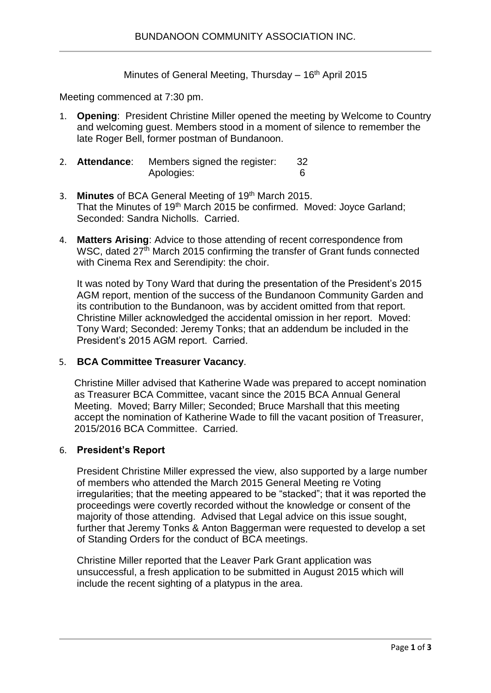Minutes of General Meeting, Thursday  $-16<sup>th</sup>$  April 2015

Meeting commenced at 7:30 pm.

1. **Opening**: President Christine Miller opened the meeting by Welcome to Country and welcoming guest. Members stood in a moment of silence to remember the late Roger Bell, former postman of Bundanoon.

| 2. | <b>Attendance:</b> | Members signed the register: | 32 |
|----|--------------------|------------------------------|----|
|    |                    | Apologies:                   |    |

- 3. **Minutes** of BCA General Meeting of 19th March 2015. That the Minutes of 19<sup>th</sup> March 2015 be confirmed. Moved: Joyce Garland; Seconded: Sandra Nicholls. Carried.
- 4. **Matters Arising**: Advice to those attending of recent correspondence from WSC, dated  $27<sup>th</sup>$  March 2015 confirming the transfer of Grant funds connected with Cinema Rex and Serendipity: the choir.

It was noted by Tony Ward that during the presentation of the President's 2015 AGM report, mention of the success of the Bundanoon Community Garden and its contribution to the Bundanoon, was by accident omitted from that report. Christine Miller acknowledged the accidental omission in her report. Moved: Tony Ward; Seconded: Jeremy Tonks; that an addendum be included in the President's 2015 AGM report. Carried.

## 5. **BCA Committee Treasurer Vacancy**.

Christine Miller advised that Katherine Wade was prepared to accept nomination as Treasurer BCA Committee, vacant since the 2015 BCA Annual General Meeting. Moved; Barry Miller; Seconded; Bruce Marshall that this meeting accept the nomination of Katherine Wade to fill the vacant position of Treasurer, 2015/2016 BCA Committee. Carried.

## 6. **President's Report**

President Christine Miller expressed the view, also supported by a large number of members who attended the March 2015 General Meeting re Voting irregularities; that the meeting appeared to be "stacked"; that it was reported the proceedings were covertly recorded without the knowledge or consent of the majority of those attending. Advised that Legal advice on this issue sought, further that Jeremy Tonks & Anton Baggerman were requested to develop a set of Standing Orders for the conduct of BCA meetings.

Christine Miller reported that the Leaver Park Grant application was unsuccessful, a fresh application to be submitted in August 2015 which will include the recent sighting of a platypus in the area.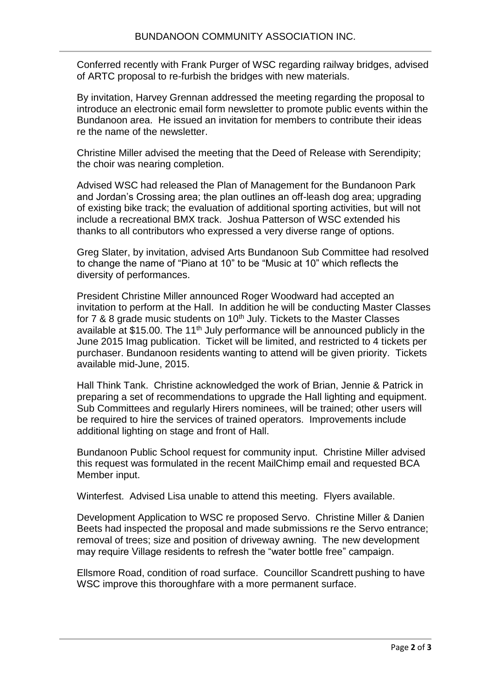Conferred recently with Frank Purger of WSC regarding railway bridges, advised of ARTC proposal to re-furbish the bridges with new materials.

By invitation, Harvey Grennan addressed the meeting regarding the proposal to introduce an electronic email form newsletter to promote public events within the Bundanoon area. He issued an invitation for members to contribute their ideas re the name of the newsletter.

Christine Miller advised the meeting that the Deed of Release with Serendipity; the choir was nearing completion.

Advised WSC had released the Plan of Management for the Bundanoon Park and Jordan's Crossing area; the plan outlines an off-leash dog area; upgrading of existing bike track; the evaluation of additional sporting activities, but will not include a recreational BMX track. Joshua Patterson of WSC extended his thanks to all contributors who expressed a very diverse range of options.

Greg Slater, by invitation, advised Arts Bundanoon Sub Committee had resolved to change the name of "Piano at 10" to be "Music at 10" which reflects the diversity of performances.

President Christine Miller announced Roger Woodward had accepted an invitation to perform at the Hall. In addition he will be conducting Master Classes for  $7$  & 8 grade music students on  $10<sup>th</sup>$  July. Tickets to the Master Classes available at \$15.00. The 11<sup>th</sup> July performance will be announced publicly in the June 2015 Imag publication. Ticket will be limited, and restricted to 4 tickets per purchaser. Bundanoon residents wanting to attend will be given priority. Tickets available mid-June, 2015.

Hall Think Tank. Christine acknowledged the work of Brian, Jennie & Patrick in preparing a set of recommendations to upgrade the Hall lighting and equipment. Sub Committees and regularly Hirers nominees, will be trained; other users will be required to hire the services of trained operators. Improvements include additional lighting on stage and front of Hall.

Bundanoon Public School request for community input. Christine Miller advised this request was formulated in the recent MailChimp email and requested BCA Member input.

Winterfest. Advised Lisa unable to attend this meeting. Flyers available.

Development Application to WSC re proposed Servo. Christine Miller & Danien Beets had inspected the proposal and made submissions re the Servo entrance; removal of trees; size and position of driveway awning. The new development may require Village residents to refresh the "water bottle free" campaign.

Ellsmore Road, condition of road surface. Councillor Scandrett pushing to have WSC improve this thoroughfare with a more permanent surface.